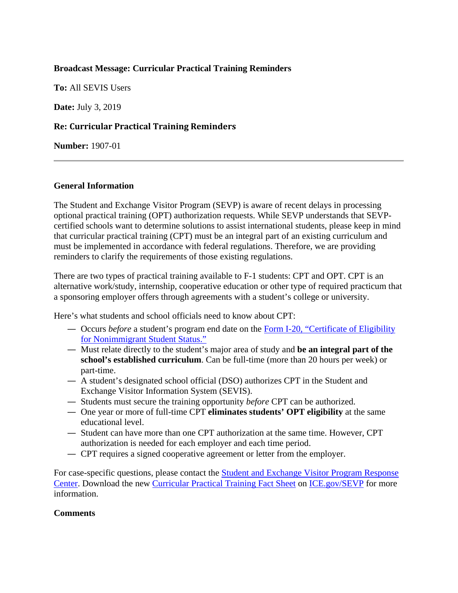# **Broadcast Message: Curricular Practical Training Reminders**

**To:** All SEVIS Users

**Date:** July 3, 2019

# **Re: Curricular Practical Training Reminders**

**Number:** 1907-01

### **General Information**

The Student and Exchange Visitor Program (SEVP) is aware of recent delays in processing optional practical training (OPT) authorization requests. While SEVP understands that SEVPcertified schools want to determine solutions to assist international students, please keep in mind that curricular practical training (CPT) must be an integral part of an existing curriculum and must be implemented in accordance with federal regulations. Therefore, we are providing reminders to clarify the requirements of those existing regulations.

There are two types of practical training available to F-1 students: CPT and OPT. CPT is an alternative work/study, internship, cooperative education or other type of required practicum that a sponsoring employer offers through agreements with a student's college or university.

Here's what students and school officials need to know about CPT:

- Occurs *before* a student's program end date on the [Form I-20, "Certificate of Eligibility](https://studyinthestates.dhs.gov/student-forms?form=Forms_I-20)  [for Nonimmigrant Student Status."](https://studyinthestates.dhs.gov/student-forms?form=Forms_I-20)
- Must relate directly to the student's major area of study and **be an integral part of the school's established curriculum**. Can be full-time (more than 20 hours per week) or part-time.
- A student's designated school official (DSO) authorizes CPT in the Student and Exchange Visitor Information System (SEVIS).
- Students must secure the training opportunity *before* CPT can be authorized.
- One year or more of full-time CPT **eliminates students' OPT eligibility** at the same educational level.
- Student can have more than one CPT authorization at the same time. However, CPT authorization is needed for each employer and each time period.
- CPT requires a signed cooperative agreement or letter from the employer.

For case-specific questions, please contact the **Student and Exchange Visitor Program Response** [Center.](https://studyinthestates.dhs.gov/contact-us) Download the new [Curricular Practical Training Fact Sheet](https://www.ice.gov/sites/default/files/documents/Fact%20sheet/2019/CurricularPracticalTraining.pdf) on [ICE.gov/SEVP](https://www.ice.gov/sevis) for more information.

#### **Comments**